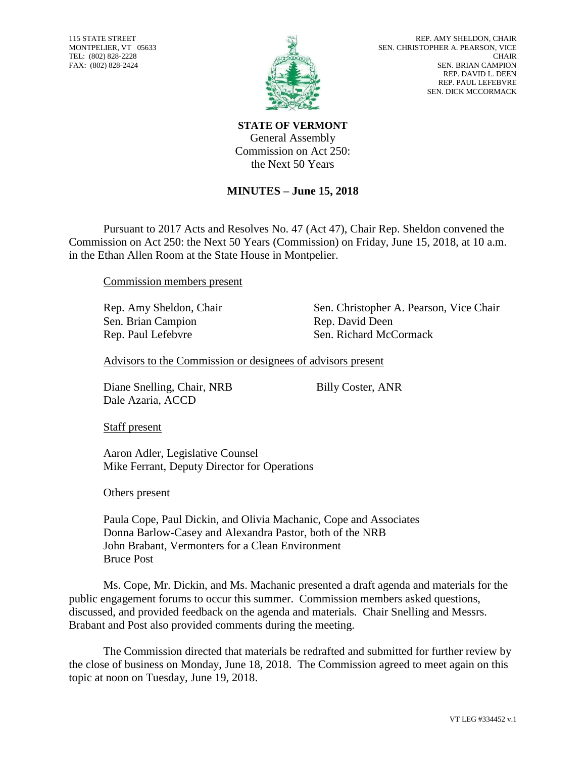115 STATE STREET MONTPELIER, VT 05633 TEL: (802) 828-2228 FAX: (802) 828-2424



**STATE OF VERMONT** General Assembly Commission on Act 250: the Next 50 Years

## **MINUTES – June 15, 2018**

Pursuant to 2017 Acts and Resolves No. 47 (Act 47), Chair Rep. Sheldon convened the Commission on Act 250: the Next 50 Years (Commission) on Friday, June 15, 2018, at 10 a.m. in the Ethan Allen Room at the State House in Montpelier.

Commission members present

Sen. Brian Campion Rep. David Deen

Rep. Amy Sheldon, Chair Sen. Christopher A. Pearson, Vice Chair Rep. Paul Lefebvre Sen. Richard McCormack

Advisors to the Commission or designees of advisors present

Diane Snelling, Chair, NRB Dale Azaria, ACCD

Billy Coster, ANR

Staff present

Aaron Adler, Legislative Counsel Mike Ferrant, Deputy Director for Operations

Others present

Paula Cope, Paul Dickin, and Olivia Machanic, Cope and Associates Donna Barlow-Casey and Alexandra Pastor, both of the NRB John Brabant, Vermonters for a Clean Environment Bruce Post

Ms. Cope, Mr. Dickin, and Ms. Machanic presented a draft agenda and materials for the public engagement forums to occur this summer. Commission members asked questions, discussed, and provided feedback on the agenda and materials. Chair Snelling and Messrs. Brabant and Post also provided comments during the meeting.

The Commission directed that materials be redrafted and submitted for further review by the close of business on Monday, June 18, 2018. The Commission agreed to meet again on this topic at noon on Tuesday, June 19, 2018.